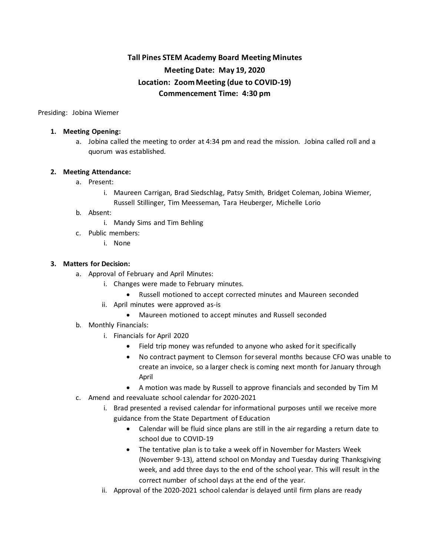# **Tall Pines STEM Academy Board Meeting Minutes Meeting Date: May 19, 2020 Location: Zoom Meeting (due to COVID-19) Commencement Time: 4:30 pm**

Presiding: Jobina Wiemer

## **1. Meeting Opening:**

a. Jobina called the meeting to order at 4:34 pm and read the mission. Jobina called roll and a quorum was established.

# **2. Meeting Attendance:**

- a. Present:
	- i. Maureen Carrigan, Brad Siedschlag, Patsy Smith, Bridget Coleman, Jobina Wiemer, Russell Stillinger, Tim Meesseman, Tara Heuberger, Michelle Lorio
- b. Absent:
	- i. Mandy Sims and Tim Behling
- c. Public members:
	- i. None

# **3. Matters for Decision:**

- a. Approval of February and April Minutes:
	- i. Changes were made to February minutes.
		- Russell motioned to accept corrected minutes and Maureen seconded
	- ii. April minutes were approved as-is
		- Maureen motioned to accept minutes and Russell seconded
- b. Monthly Financials:
	- i. Financials for April 2020
		- Field trip money was refunded to anyone who asked for it specifically
		- No contract payment to Clemson for several months because CFO was unable to create an invoice, so a larger check is coming next month for January through April
		- A motion was made by Russell to approve financials and seconded by Tim M
- c. Amend and reevaluate school calendar for 2020-2021
	- i. Brad presented a revised calendar for informational purposes until we receive more guidance from the State Department of Education
		- Calendar will be fluid since plans are still in the air regarding a return date to school due to COVID-19
		- The tentative plan is to take a week off in November for Masters Week (November 9-13), attend school on Monday and Tuesday during Thanksgiving week, and add three days to the end of the school year. This will result in the correct number of school days at the end of the year.
	- ii. Approval of the 2020-2021 school calendar is delayed until firm plans are ready